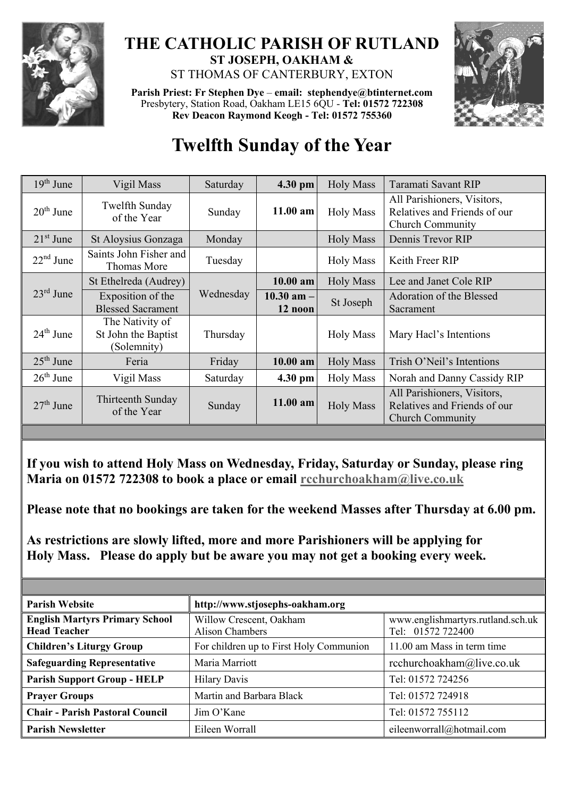

## **THE CATHOLIC PARISH OF RUTLAND ST JOSEPH, OAKHAM &**  ST THOMAS OF CANTERBURY, EXTON

**Parish Priest: Fr Stephen Dye** – **[email: stephendye@btinternet.com](mailto:email:%20%20stephendye@btinternet.com)** Presbytery, Station Road, Oakham LE15 6QU - **Tel: 01572 722308 Rev Deacon Raymond Keogh - Tel: 01572 755360**



## **Twelfth Sunday of the Year**

| $19th$ June | Vigil Mass                                            | Saturday  | 4.30 pm                   | <b>Holy Mass</b> | Taramati Savant RIP                                                                    |
|-------------|-------------------------------------------------------|-----------|---------------------------|------------------|----------------------------------------------------------------------------------------|
| $20th$ June | Twelfth Sunday<br>of the Year                         | Sunday    | $11.00$ am                | <b>Holy Mass</b> | All Parishioners, Visitors,<br>Relatives and Friends of our<br><b>Church Community</b> |
| $21st$ June | St Aloysius Gonzaga                                   | Monday    |                           | <b>Holy Mass</b> | Dennis Trevor RIP                                                                      |
| $22nd$ June | Saints John Fisher and<br>Thomas More                 | Tuesday   |                           | <b>Holy Mass</b> | Keith Freer RIP                                                                        |
| $23rd$ June | St Ethelreda (Audrey)                                 | Wednesday | $10.00$ am                | <b>Holy Mass</b> | Lee and Janet Cole RIP                                                                 |
|             | Exposition of the<br><b>Blessed Sacrament</b>         |           | $10.30$ am $-$<br>12 noon | St Joseph        | Adoration of the Blessed<br>Sacrament                                                  |
| $24th$ June | The Nativity of<br>St John the Baptist<br>(Solemnity) | Thursday  |                           | <b>Holy Mass</b> | Mary Hacl's Intentions                                                                 |
| $25th$ June | Feria                                                 | Friday    | 10.00 am                  | <b>Holy Mass</b> | Trish O'Neil's Intentions                                                              |
| $26th$ June | Vigil Mass                                            | Saturday  | 4.30 pm                   | <b>Holy Mass</b> | Norah and Danny Cassidy RIP                                                            |
| $27th$ June | Thirteenth Sunday<br>of the Year                      | Sunday    | $11.00$ am                | <b>Holy Mass</b> | All Parishioners, Visitors,<br>Relatives and Friends of our<br><b>Church Community</b> |
|             |                                                       |           |                           |                  |                                                                                        |

**If you wish to attend Holy Mass on Wednesday, Friday, Saturday or Sunday, please ring Maria on 01572 722308 to book a place or email [rcchurchoakham@live.co.uk](mailto:rcchurchoakham@live.co.uk)**

**Please note that no bookings are taken for the weekend Masses after Thursday at 6.00 pm.**

**As restrictions are slowly lifted, more and more Parishioners will be applying for Holy Mass. Please do apply but be aware you may not get a booking every week.**

| <b>Parish Website</b>                                        | http://www.stjosephs-oakham.org                   |                                                        |  |  |
|--------------------------------------------------------------|---------------------------------------------------|--------------------------------------------------------|--|--|
| <b>English Martyrs Primary School</b><br><b>Head Teacher</b> | Willow Crescent, Oakham<br><b>Alison Chambers</b> | www.englishmartyrs.rutland.sch.uk<br>Tel: 01572 722400 |  |  |
| <b>Children's Liturgy Group</b>                              | For children up to First Holy Communion           | 11.00 am Mass in term time                             |  |  |
| <b>Safeguarding Representative</b>                           | Maria Marriott                                    | rcchurchoakham@live.co.uk                              |  |  |
| <b>Parish Support Group - HELP</b>                           | <b>Hilary Davis</b>                               | Tel: 01572 724256                                      |  |  |
| <b>Prayer Groups</b>                                         | Martin and Barbara Black                          | Tel: 01572 724918                                      |  |  |
| <b>Chair - Parish Pastoral Council</b>                       | $\lim$ O'Kane                                     | Tel: 01572 755112                                      |  |  |
| <b>Parish Newsletter</b>                                     | Eileen Worrall                                    | eileenworrall@hotmail.com                              |  |  |